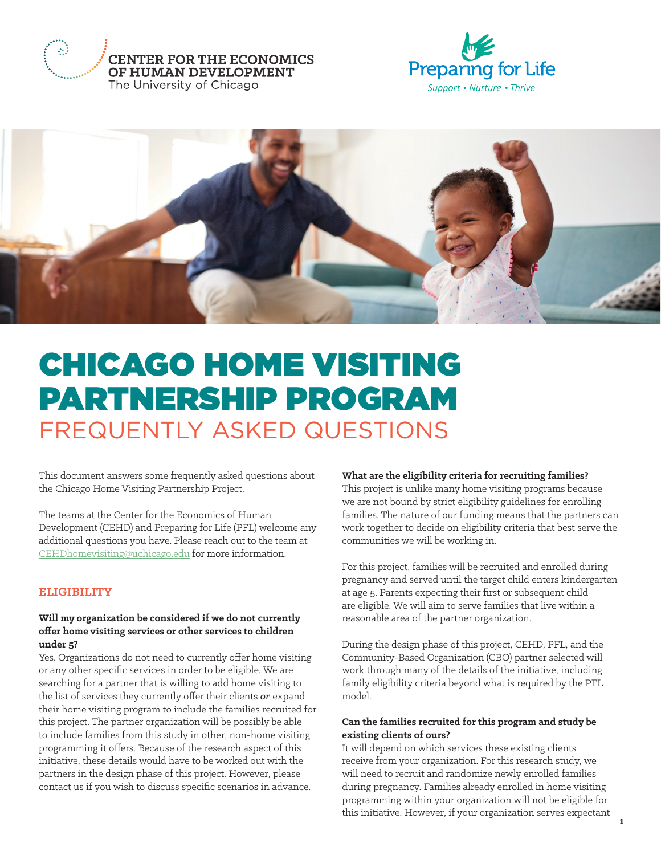





# CHICAGO HOME VISITING PARTNERSHIP PROGRAM FREQUENTLY ASKED QUESTIONS

This document answers some frequently asked questions about the Chicago Home Visiting Partnership Project.

The teams at the Center for the Economics of Human Development (CEHD) and Preparing for Life (PFL) welcome any additional questions you have. Please reach out to the team at CEHDhomevisiting@uchicago.edu for more information.

# **ELIGIBILITY**

#### **Will my organization be considered if we do not currently offer home visiting services or other services to children under 5?**

Yes. Organizations do not need to currently offer home visiting or any other specific services in order to be eligible. We are searching for a partner that is willing to add home visiting to the list of services they currently offer their clients *or* expand their home visiting program to include the families recruited for this project. The partner organization will be possibly be able to include families from this study in other, non-home visiting programming it offers. Because of the research aspect of this initiative, these details would have to be worked out with the partners in the design phase of this project. However, please contact us if you wish to discuss specific scenarios in advance.

#### **What are the eligibility criteria for recruiting families?**

This project is unlike many home visiting programs because we are not bound by strict eligibility guidelines for enrolling families. The nature of our funding means that the partners can work together to decide on eligibility criteria that best serve the communities we will be working in.

For this project, families will be recruited and enrolled during pregnancy and served until the target child enters kindergarten at age 5. Parents expecting their first or subsequent child are eligible. We will aim to serve families that live within a reasonable area of the partner organization.

During the design phase of this project, CEHD, PFL, and the Community-Based Organization (CBO) partner selected will work through many of the details of the initiative, including family eligibility criteria beyond what is required by the PFL model.

# **Can the families recruited for this program and study be existing clients of ours?**

It will depend on which services these existing clients receive from your organization. For this research study, we will need to recruit and randomize newly enrolled families during pregnancy. Families already enrolled in home visiting programming within your organization will not be eligible for this initiative. However, if your organization serves expectant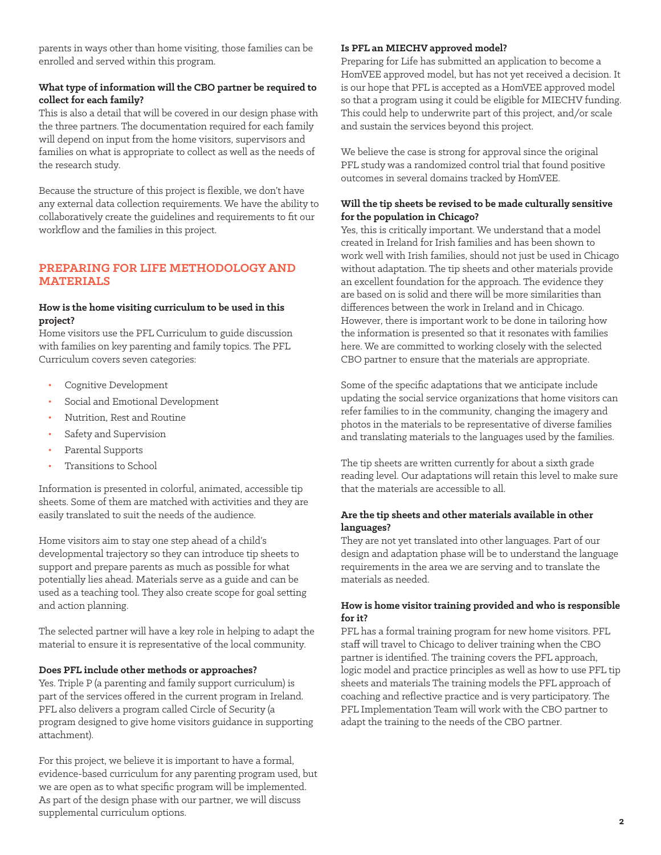parents in ways other than home visiting, those families can be enrolled and served within this program.

# **What type of information will the CBO partner be required to collect for each family?**

This is also a detail that will be covered in our design phase with the three partners. The documentation required for each family will depend on input from the home visitors, supervisors and families on what is appropriate to collect as well as the needs of the research study.

Because the structure of this project is flexible, we don't have any external data collection requirements. We have the ability to collaboratively create the guidelines and requirements to fit our workflow and the families in this project.

# **PREPARING FOR LIFE METHODOLOGY AND MATERIALS**

#### **How is the home visiting curriculum to be used in this project?**

Home visitors use the PFL Curriculum to guide discussion with families on key parenting and family topics. The PFL Curriculum covers seven categories:

- Cognitive Development
- Social and Emotional Development
- Nutrition, Rest and Routine
- Safety and Supervision
- Parental Supports
- Transitions to School

Information is presented in colorful, animated, accessible tip sheets. Some of them are matched with activities and they are easily translated to suit the needs of the audience.

Home visitors aim to stay one step ahead of a child's developmental trajectory so they can introduce tip sheets to support and prepare parents as much as possible for what potentially lies ahead. Materials serve as a guide and can be used as a teaching tool. They also create scope for goal setting and action planning.

The selected partner will have a key role in helping to adapt the material to ensure it is representative of the local community.

# **Does PFL include other methods or approaches?**

Yes. Triple P (a parenting and family support curriculum) is part of the services offered in the current program in Ireland. PFL also delivers a program called Circle of Security (a program designed to give home visitors guidance in supporting attachment).

For this project, we believe it is important to have a formal, evidence-based curriculum for any parenting program used, but we are open as to what specific program will be implemented. As part of the design phase with our partner, we will discuss supplemental curriculum options.

#### **Is PFL an MIECHV approved model?**

Preparing for Life has submitted an application to become a HomVEE approved model, but has not yet received a decision. It is our hope that PFL is accepted as a HomVEE approved model so that a program using it could be eligible for MIECHV funding. This could help to underwrite part of this project, and/or scale and sustain the services beyond this project.

We believe the case is strong for approval since the original PFL study was a randomized control trial that found positive outcomes in several domains tracked by HomVEE.

### **Will the tip sheets be revised to be made culturally sensitive for the population in Chicago?**

Yes, this is critically important. We understand that a model created in Ireland for Irish families and has been shown to work well with Irish families, should not just be used in Chicago without adaptation. The tip sheets and other materials provide an excellent foundation for the approach. The evidence they are based on is solid and there will be more similarities than differences between the work in Ireland and in Chicago. However, there is important work to be done in tailoring how the information is presented so that it resonates with families here. We are committed to working closely with the selected CBO partner to ensure that the materials are appropriate.

Some of the specific adaptations that we anticipate include updating the social service organizations that home visitors can refer families to in the community, changing the imagery and photos in the materials to be representative of diverse families and translating materials to the languages used by the families.

The tip sheets are written currently for about a sixth grade reading level. Our adaptations will retain this level to make sure that the materials are accessible to all.

# **Are the tip sheets and other materials available in other languages?**

They are not yet translated into other languages. Part of our design and adaptation phase will be to understand the language requirements in the area we are serving and to translate the materials as needed.

# **How is home visitor training provided and who is responsible for it?**

PFL has a formal training program for new home visitors. PFL staff will travel to Chicago to deliver training when the CBO partner is identified. The training covers the PFL approach, logic model and practice principles as well as how to use PFL tip sheets and materials The training models the PFL approach of coaching and reflective practice and is very participatory. The PFL Implementation Team will work with the CBO partner to adapt the training to the needs of the CBO partner.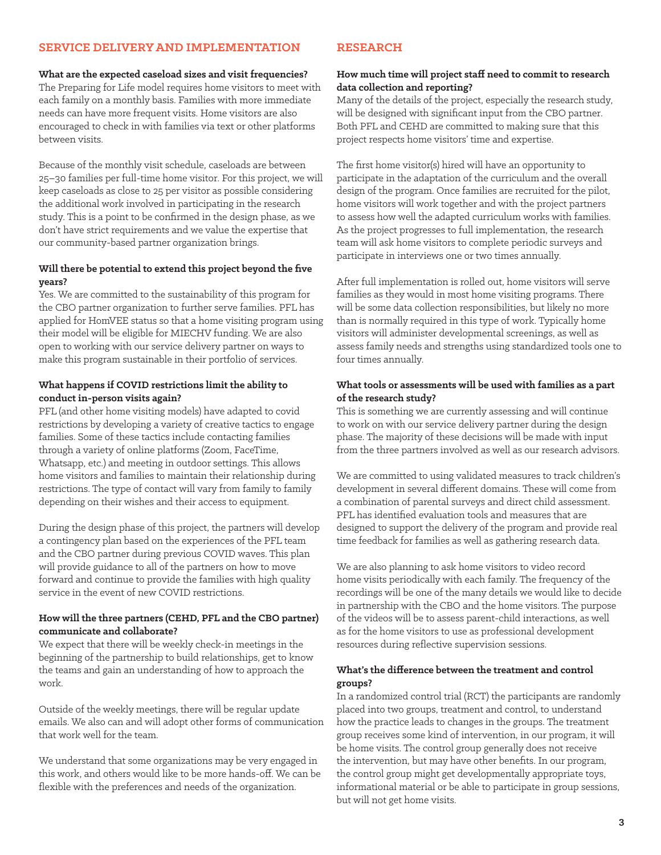# **SERVICE DELIVERY AND IMPLEMENTATION**

#### **What are the expected caseload sizes and visit frequencies?**

The Preparing for Life model requires home visitors to meet with each family on a monthly basis. Families with more immediate needs can have more frequent visits. Home visitors are also encouraged to check in with families via text or other platforms between visits.

Because of the monthly visit schedule, caseloads are between 25–30 families per full-time home visitor. For this project, we will keep caseloads as close to 25 per visitor as possible considering the additional work involved in participating in the research study. This is a point to be confirmed in the design phase, as we don't have strict requirements and we value the expertise that our community-based partner organization brings.

# **Will there be potential to extend this project beyond the five years?**

Yes. We are committed to the sustainability of this program for the CBO partner organization to further serve families. PFL has applied for HomVEE status so that a home visiting program using their model will be eligible for MIECHV funding. We are also open to working with our service delivery partner on ways to make this program sustainable in their portfolio of services.

# **What happens if COVID restrictions limit the ability to conduct in-person visits again?**

PFL (and other home visiting models) have adapted to covid restrictions by developing a variety of creative tactics to engage families. Some of these tactics include contacting families through a variety of online platforms (Zoom, FaceTime, Whatsapp, etc.) and meeting in outdoor settings. This allows home visitors and families to maintain their relationship during restrictions. The type of contact will vary from family to family depending on their wishes and their access to equipment.

During the design phase of this project, the partners will develop a contingency plan based on the experiences of the PFL team and the CBO partner during previous COVID waves. This plan will provide guidance to all of the partners on how to move forward and continue to provide the families with high quality service in the event of new COVID restrictions.

# **How will the three partners (CEHD, PFL and the CBO partner) communicate and collaborate?**

We expect that there will be weekly check-in meetings in the beginning of the partnership to build relationships, get to know the teams and gain an understanding of how to approach the work.

Outside of the weekly meetings, there will be regular update emails. We also can and will adopt other forms of communication that work well for the team.

We understand that some organizations may be very engaged in this work, and others would like to be more hands-off. We can be flexible with the preferences and needs of the organization.

# **RESEARCH**

#### **How much time will project staff need to commit to research data collection and reporting?**

Many of the details of the project, especially the research study, will be designed with significant input from the CBO partner. Both PFL and CEHD are committed to making sure that this project respects home visitors' time and expertise.

The first home visitor(s) hired will have an opportunity to participate in the adaptation of the curriculum and the overall design of the program. Once families are recruited for the pilot, home visitors will work together and with the project partners to assess how well the adapted curriculum works with families. As the project progresses to full implementation, the research team will ask home visitors to complete periodic surveys and participate in interviews one or two times annually.

After full implementation is rolled out, home visitors will serve families as they would in most home visiting programs. There will be some data collection responsibilities, but likely no more than is normally required in this type of work. Typically home visitors will administer developmental screenings, as well as assess family needs and strengths using standardized tools one to four times annually.

# **What tools or assessments will be used with families as a part of the research study?**

This is something we are currently assessing and will continue to work on with our service delivery partner during the design phase. The majority of these decisions will be made with input from the three partners involved as well as our research advisors.

We are committed to using validated measures to track children's development in several different domains. These will come from a combination of parental surveys and direct child assessment. PFL has identified evaluation tools and measures that are designed to support the delivery of the program and provide real time feedback for families as well as gathering research data.

We are also planning to ask home visitors to video record home visits periodically with each family. The frequency of the recordings will be one of the many details we would like to decide in partnership with the CBO and the home visitors. The purpose of the videos will be to assess parent-child interactions, as well as for the home visitors to use as professional development resources during reflective supervision sessions.

# **What's the difference between the treatment and control groups?**

In a randomized control trial (RCT) the participants are randomly placed into two groups, treatment and control, to understand how the practice leads to changes in the groups. The treatment group receives some kind of intervention, in our program, it will be home visits. The control group generally does not receive the intervention, but may have other benefits. In our program, the control group might get developmentally appropriate toys, informational material or be able to participate in group sessions, but will not get home visits.